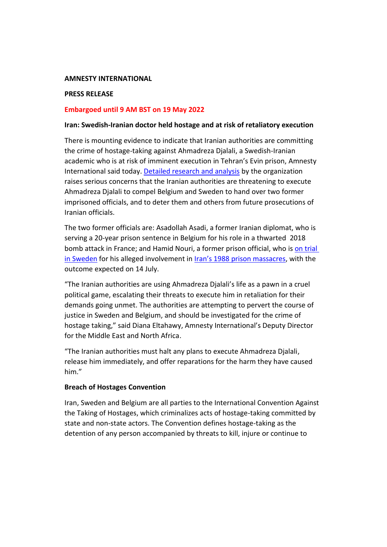#### **AMNESTY INTERNATIONAL**

## **PRESS RELEASE**

## **Embargoed until 9 AM BST on 19 May 2022**

### **Iran: Swedish-Iranian doctor held hostage and at risk of retaliatory execution**

There is mounting evidence to indicate that Iranian authorities are committing the crime of hostage-taking against Ahmadreza Djalali, a Swedish-Iranian academic who is at risk of imminent execution in Tehran's Evin prison, Amnesty International said today. [Detailed research and analysis](https://www.amnesty.org/en/documents/mde13/5623/2022/en/) by the organization raises serious concerns that the Iranian authorities are threatening to execute Ahmadreza Djalali to compel Belgium and Sweden to hand over two former imprisoned officials, and to deter them and others from future prosecutions of Iranian officials.

The two former officials are: Asadollah Asadi, a former Iranian diplomat, who is serving a 20-year prison sentence in Belgium for his role in a thwarted 2018 bomb attack in France; and Hamid Nouri, a former prison official, who is [on trial](https://www.amnesty.org/en/documents/mde13/1406/2019/en/)  in [Sweden](https://www.amnesty.org/en/documents/mde13/1406/2019/en/) for his alleged involvement in *Iran's 1988* prison massacres, with the outcome expected on 14 July.

"The Iranian authorities are using Ahmadreza Djalali's life as a pawn in a cruel political game, escalating their threats to execute him in retaliation for their demands going unmet. The authorities are attempting to pervert the course of justice in Sweden and Belgium, and should be investigated for the crime of hostage taking," said Diana Eltahawy, Amnesty International's Deputy Director for the Middle East and North Africa.

"The Iranian authorities must halt any plans to execute Ahmadreza Djalali, release him immediately, and offer reparations for the harm they have caused him."

## **Breach of Hostages Convention**

Iran, Sweden and Belgium are all parties to the International Convention Against the Taking of Hostages, which criminalizes acts of hostage-taking committed by state and non-state actors. The Convention defines hostage-taking as the detention of any person accompanied by threats to kill, injure or continue to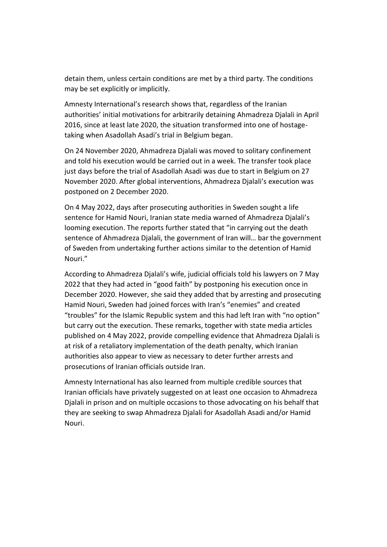detain them, unless certain conditions are met by a third party. The conditions may be set explicitly or implicitly.

Amnesty International's research shows that, regardless of the Iranian authorities' initial motivations for arbitrarily detaining Ahmadreza Djalali in April 2016, since at least late 2020, the situation transformed into one of hostagetaking when Asadollah Asadi's trial in Belgium began.

On 24 November 2020, Ahmadreza Djalali was moved to solitary confinement and told his execution would be carried out in a week. The transfer took place just days before the trial of Asadollah Asadi was due to start in Belgium on 27 November 2020. After global interventions, Ahmadreza Djalali's execution was postponed on 2 December 2020.

On 4 May 2022, days after prosecuting authorities in Sweden sought a life sentence for Hamid Nouri, Iranian state media warned of Ahmadreza Djalali's looming execution. The reports further stated that "in carrying out the death sentence of Ahmadreza Djalali, the government of Iran will… bar the government of Sweden from undertaking further actions similar to the detention of Hamid Nouri."

According to Ahmadreza Djalali's wife, judicial officials told his lawyers on 7 May 2022 that they had acted in "good faith" by postponing his execution once in December 2020. However, she said they added that by arresting and prosecuting Hamid Nouri, Sweden had joined forces with Iran's "enemies" and created "troubles" for the Islamic Republic system and this had left Iran with "no option" but carry out the execution. These remarks, together with state media articles published on 4 May 2022, provide compelling evidence that Ahmadreza Djalali is at risk of a retaliatory implementation of the death penalty, which Iranian authorities also appear to view as necessary to deter further arrests and prosecutions of Iranian officials outside Iran.

Amnesty International has also learned from multiple credible sources that Iranian officials have privately suggested on at least one occasion to Ahmadreza Djalali in prison and on multiple occasions to those advocating on his behalf that they are seeking to swap Ahmadreza Djalali for Asadollah Asadi and/or Hamid Nouri.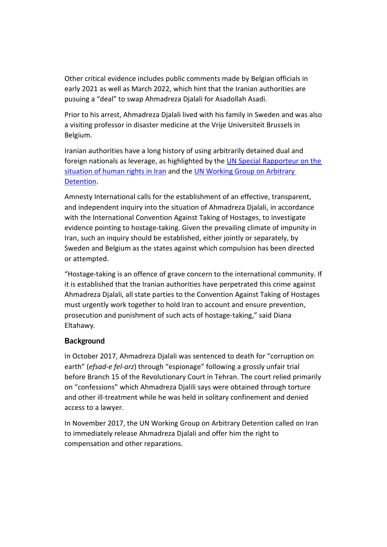Other critical evidence includes public comments made by Belgian officials in early 2021 as well as March 2022, which hint that the Iranian authorities are pusuing a "deal" to swap Ahmadreza Djalali for Asadollah Asadi.

Prior to his arrest, Ahmadreza Djalali lived with his family in Sweden and was also a visiting professor in disaster medicine at the Vrije Universiteit Brussels in Belgium.

Iranian authorities have a long history of using arbitrarily detained dual and foreign nationals as leverage, as highlighted by the [UN Special Rapporteur on the](file://///intsec.amnesty.org/Programmes/MEP/IRAN/AI-EXT/News%20Services/2022/DRAFTS/undocs.org/en/A/HRC/49/75)  [situation of human rights in Iran](file://///intsec.amnesty.org/Programmes/MEP/IRAN/AI-EXT/News%20Services/2022/DRAFTS/undocs.org/en/A/HRC/49/75) and th[e UN Working Group on Arbitrary](file://///intsec.amnesty.org/Programmes/MEP/IRAN/AI-EXT/News%20Services/2022/DRAFTS/undocs.org/A/HRC/WGAD/2018/52)  [Detention.](file://///intsec.amnesty.org/Programmes/MEP/IRAN/AI-EXT/News%20Services/2022/DRAFTS/undocs.org/A/HRC/WGAD/2018/52)

Amnesty International calls for the establishment of an effective, transparent, and independent inquiry into the situation of Ahmadreza Djalali, in accordance with the International Convention Against Taking of Hostages, to investigate evidence pointing to hostage-taking. Given the prevailing climate of impunity in Iran, such an inquiry should be established, either jointly or separately, by Sweden and Belgium as the states against which compulsion has been directed or attempted.

"Hostage-taking is an offence of grave concern to the international community. If it is established that the Iranian authorities have perpetrated this crime against Ahmadreza Djalali, all state parties to the Convention Against Taking of Hostages must urgently work together to hold Iran to account and ensure prevention, prosecution and punishment of such acts of hostage-taking," said Diana Eltahawy.

# **Background**

In October 2017, Ahmadreza Djalali was sentenced to death for "corruption on earth" (*efsad-e fel-arz*) through "espionage" following a grossly unfair trial before Branch 15 of the Revolutionary Court in Tehran. The court relied primarily on "confessions" which Ahmadreza Djalili says were obtained through torture and other ill-treatment while he was held in solitary confinement and denied access to a lawyer.

In November 2017, the UN Working Group on Arbitrary Detention called on Iran to immediately release Ahmadreza Djalali and offer him the right to compensation and other reparations.